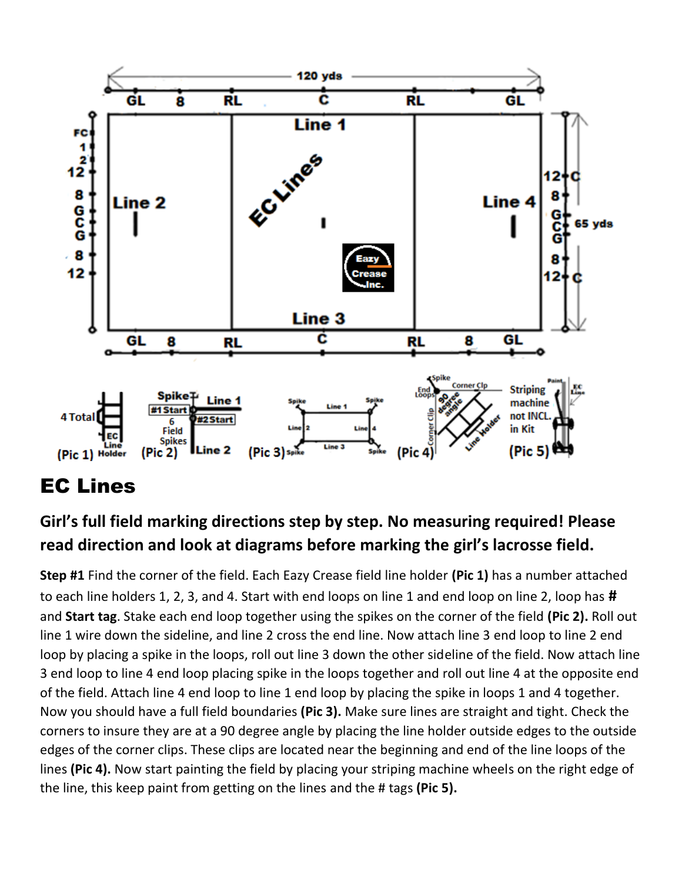

## EC Lines

## **Girl's full field marking directions step by step. No measuring required! Please read direction and look at diagrams before marking the girl's lacrosse field.**

**Step #1** Find the corner of the field. Each Eazy Crease field line holder **(Pic 1)** has a number attached to each line holders 1, 2, 3, and 4. Start with end loops on line 1 and end loop on line 2, loop has **#** and **Start tag**. Stake each end loop together using the spikes on the corner of the field **(Pic 2).** Roll out line 1 wire down the sideline, and line 2 cross the end line. Now attach line 3 end loop to line 2 end loop by placing a spike in the loops, roll out line 3 down the other sideline of the field. Now attach line 3 end loop to line 4 end loop placing spike in the loops together and roll out line 4 at the opposite end of the field. Attach line 4 end loop to line 1 end loop by placing the spike in loops 1 and 4 together. Now you should have a full field boundaries **(Pic 3).** Make sure lines are straight and tight. Check the corners to insure they are at a 90 degree angle by placing the line holder outside edges to the outside edges of the corner clips. These clips are located near the beginning and end of the line loops of the lines **(Pic 4).** Now start painting the field by placing your striping machine wheels on the right edge of the line, this keep paint from getting on the lines and the # tags **(Pic 5).**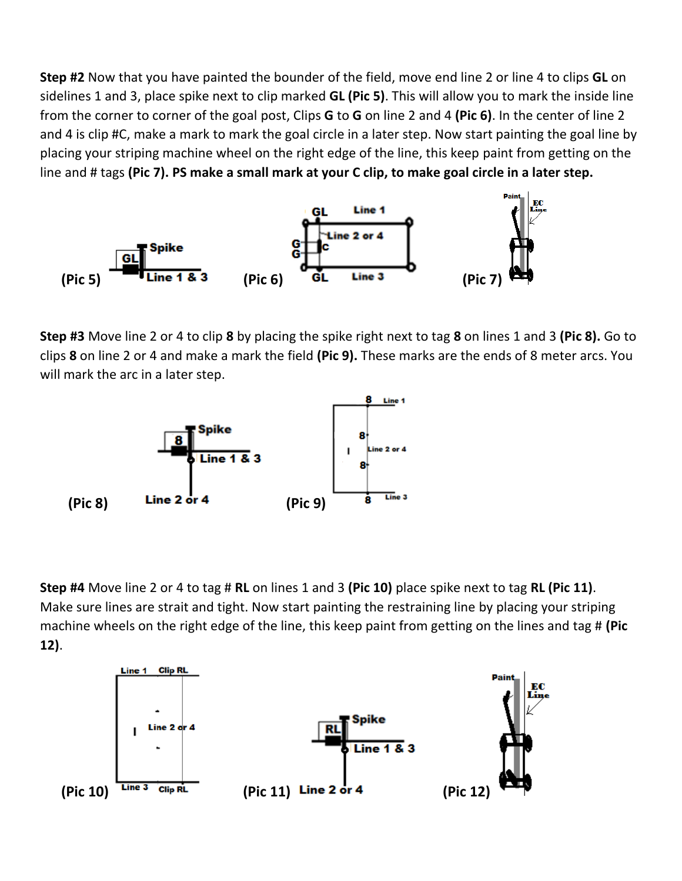**Step #2** Now that you have painted the bounder of the field, move end line 2 or line 4 to clips **GL** on sidelines 1 and 3, place spike next to clip marked **GL (Pic 5)**. This will allow you to mark the inside line from the corner to corner of the goal post, Clips **G** to **G** on line 2 and 4 **(Pic 6)**. In the center of line 2 and 4 is clip #C, make a mark to mark the goal circle in a later step. Now start painting the goal line by placing your striping machine wheel on the right edge of the line, this keep paint from getting on the line and # tags **(Pic 7). PS make a small mark at your C clip, to make goal circle in a later step.**



**Step #3** Move line 2 or 4 to clip **8** by placing the spike right next to tag **8** on lines 1 and 3 **(Pic 8).** Go to clips **8** on line 2 or 4 and make a mark the field **(Pic 9).** These marks are the ends of 8 meter arcs. You will mark the arc in a later step.



**Step #4** Move line 2 or 4 to tag # **RL** on lines 1 and 3 **(Pic 10)** place spike next to tag **RL (Pic 11)**. Make sure lines are strait and tight. Now start painting the restraining line by placing your striping machine wheels on the right edge of the line, this keep paint from getting on the lines and tag # **(Pic 12)**.

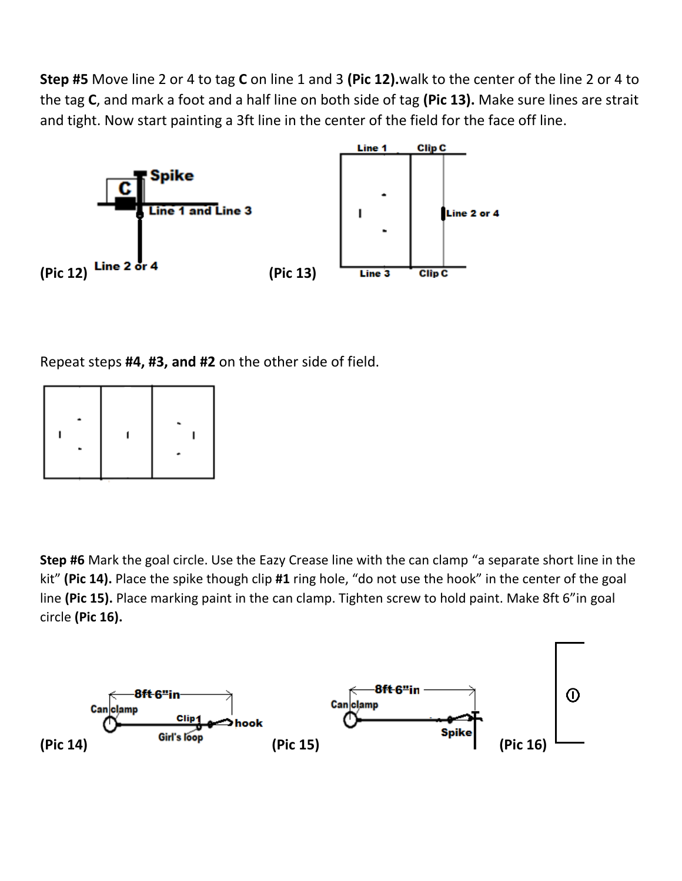**Step #5** Move line 2 or 4 to tag **C** on line 1 and 3 **(Pic 12).**walk to the center of the line 2 or 4 to the tag **C**, and mark a foot and a half line on both side of tag **(Pic 13).** Make sure lines are strait and tight. Now start painting a 3ft line in the center of the field for the face off line.



Repeat steps **#4, #3, and #2** on the other side of field.



**Step #6** Mark the goal circle. Use the Eazy Crease line with the can clamp "a separate short line in the kit" **(Pic 14).** Place the spike though clip **#1** ring hole, "do not use the hook" in the center of the goal line **(Pic 15).** Place marking paint in the can clamp. Tighten screw to hold paint. Make 8ft 6"in goal circle **(Pic 16).**

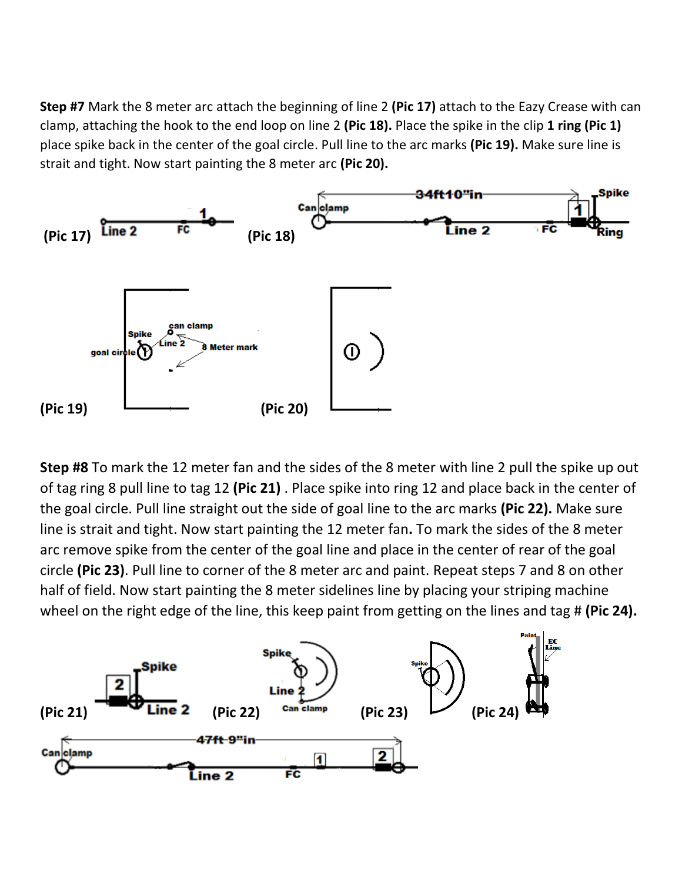**Step #7** Mark the 8 meter arc attach the beginning of line 2 **(Pic 17)** attach to the Eazy Crease with can clamp, attaching the hook to the end loop on line 2 **(Pic 18).** Place the spike in the clip **1 ring (Pic 1)**  place spike back in the center of the goal circle. Pull line to the arc marks **(Pic 19).** Make sure line is strait and tight. Now start painting the 8 meter arc **(Pic 20).**



**Step #8** To mark the 12 meter fan and the sides of the 8 meter with line 2 pull the spike up out of tag ring 8 pull line to tag 12 **(Pic 21)** . Place spike into ring 12 and place back in the center of the goal circle. Pull line straight out the side of goal line to the arc marks **(Pic 22).** Make sure line is strait and tight. Now start painting the 12 meter fan**.** To mark the sides of the 8 meter arc remove spike from the center of the goal line and place in the center of rear of the goal circle **(Pic 23)**. Pull line to corner of the 8 meter arc and paint. Repeat steps 7 and 8 on other half of field. Now start painting the 8 meter sidelines line by placing your striping machine wheel on the right edge of the line, this keep paint from getting on the lines and tag # **(Pic 24).**